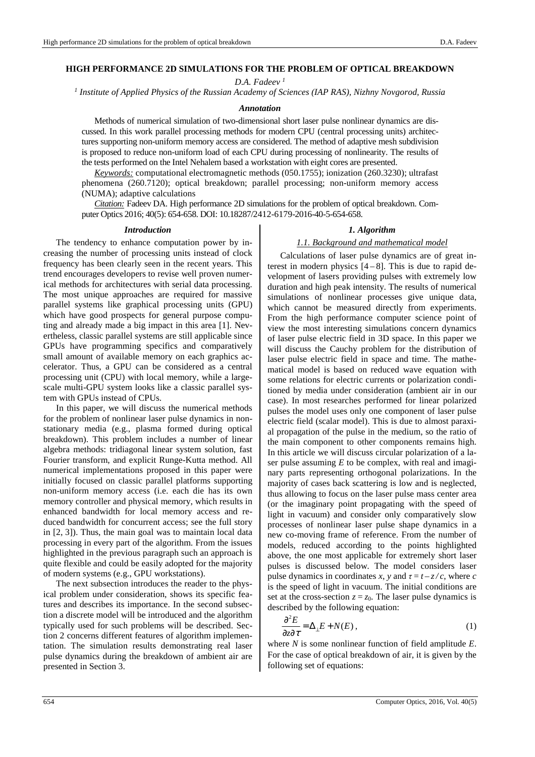## **HIGH PERFORMANCE 2D SIMULATIONS FOR THE PROBLEM OF OPTICAL BREAKDOWN**

*D.A. Fadeev <sup>1</sup>*

*1 Institute of Applied Physics of the Russian Academy of Sciences (IAP RAS), Nizhny Novgorod, Russia* 

### *Annotation*

Methods of numerical simulation of two-dimensional short laser pulse nonlinear dynamics are discussed. In this work parallel processing methods for modern CPU (central processing units) architectures supporting non-uniform memory access are considered. The method of adaptive mesh subdivision is proposed to reduce non-uniform load of each CPU during processing of nonlinearity. The results of the tests performed on the Intel Nehalem based a workstation with eight cores are presented.

*Keywords:* computational electromagnetic methods (050.1755); ionization (260.3230); ultrafast phenomena (260.7120); optical breakdown; parallel processing; non-uniform memory access (NUMA); adaptive calculations

*Citation:* Fadeev DA. High performance 2D simulations for the problem of optical breakdown. Computer Optics 2016; 40(5): 654-658. DOI: 10.18287/2412-6179-2016-40-5-654-658.

## *Introduction*

The tendency to enhance computation power by increasing the number of processing units instead of clock frequency has been clearly seen in the recent years. This trend encourages developers to revise well proven numerical methods for architectures with serial data processing. The most unique approaches are required for massive parallel systems like graphical processing units (GPU) which have good prospects for general purpose computing and already made a big impact in this area [1]. Nevertheless, classic parallel systems are still applicable since GPUs have programming specifics and comparatively small amount of available memory on each graphics accelerator. Thus, a GPU can be considered as a central processing unit (CPU) with local memory, while a largescale multi-GPU system looks like a classic parallel system with GPUs instead of CPUs.

In this paper, we will discuss the numerical methods for the problem of nonlinear laser pulse dynamics in nonstationary media (e.g., plasma formed during optical breakdown). This problem includes a number of linear algebra methods: tridiagonal linear system solution, fast Fourier transform, and explicit Runge-Kutta method. All numerical implementations proposed in this paper were initially focused on classic parallel platforms supporting non-uniform memory access (i.e. each die has its own memory controller and physical memory, which results in enhanced bandwidth for local memory access and reduced bandwidth for concurrent access; see the full story in [2, 3]). Thus, the main goal was to maintain local data processing in every part of the algorithm. From the issues highlighted in the previous paragraph such an approach is quite flexible and could be easily adopted for the majority of modern systems (e.g., GPU workstations).

The next subsection introduces the reader to the physical problem under consideration, shows its specific features and describes its importance. In the second subsection a discrete model will be introduced and the algorithm typically used for such problems will be described. Section 2 concerns different features of algorithm implementation. The simulation results demonstrating real laser pulse dynamics during the breakdown of ambient air are presented in Section 3.

## *1. Algorithm*

### *1.1. Background and mathematical model*

Calculations of laser pulse dynamics are of great interest in modern physics  $[4-8]$ . This is due to rapid development of lasers providing pulses with extremely low duration and high peak intensity. The results of numerical simulations of nonlinear processes give unique data, which cannot be measured directly from experiments. From the high performance computer science point of view the most interesting simulations concern dynamics of laser pulse electric field in 3D space. In this paper we will discuss the Cauchy problem for the distribution of laser pulse electric field in space and time. The mathematical model is based on reduced wave equation with some relations for electric currents or polarization conditioned by media under consideration (ambient air in our case). In most researches performed for linear polarized pulses the model uses only one component of laser pulse electric field (scalar model). This is due to almost paraxial propagation of the pulse in the medium, so the ratio of the main component to other components remains high. In this article we will discuss circular polarization of a laser pulse assuming *E* to be complex, with real and imaginary parts representing orthogonal polarizations. In the majority of cases back scattering is low and is neglected, thus allowing to focus on the laser pulse mass center area (or the imaginary point propagating with the speed of light in vacuum) and consider only comparatively slow processes of nonlinear laser pulse shape dynamics in a new co-moving frame of reference. From the number of models, reduced according to the points highlighted above, the one most applicable for extremely short laser pulses is discussed below. The model considers laser pulse dynamics in coordinates *x*, *y* and  $\tau = t - z/c$ , where *c* is the speed of light in vacuum. The initial conditions are set at the cross-section  $z = z_0$ . The laser pulse dynamics is described by the following equation:

$$
\frac{\partial^2 E}{\partial z \partial \tau} = \Delta_{\perp} E + N(E), \qquad (1)
$$

where *N* is some nonlinear function of field amplitude *E*. For the case of optical breakdown of air, it is given by the following set of equations: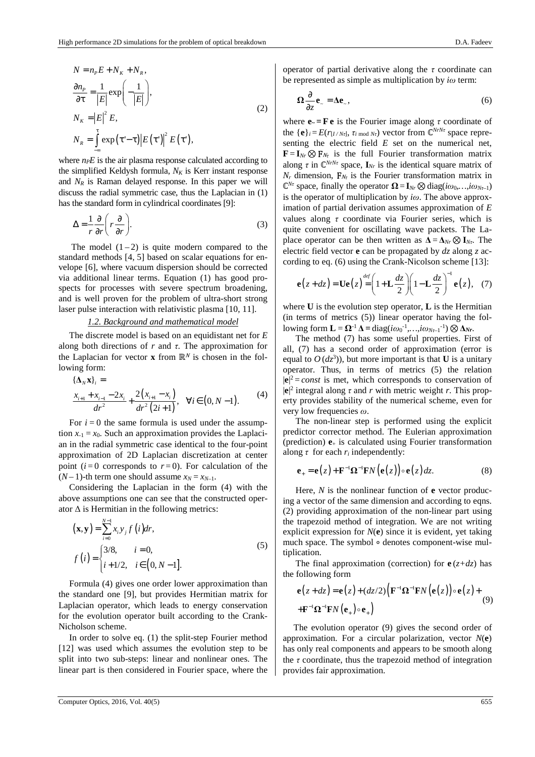$$
N = n_{P}E + N_{K} + N_{R},
$$
  
\n
$$
\frac{\partial n_{P}}{\partial \tau} = \frac{1}{|E|} \exp\left(-\frac{1}{|E|}\right),
$$
  
\n
$$
N_{K} = |E|^{2} E,
$$
  
\n
$$
N_{R} = \int_{-\infty}^{\tau} \exp(\tau - \tau) |E(\tau)|^{2} E(\tau),
$$
\n(2)

where  $n_P E$  is the air plasma response calculated according to the simplified Keldysh formula,  $N_K$  is Kerr instant response and  $N_R$  is Raman delayed response. In this paper we will discuss the radial symmetric case, thus the Laplacian in (1) has the standard form in cylindrical coordinates [9]:

$$
\Delta = \frac{1}{r} \frac{\partial}{\partial r} \left( r \frac{\partial}{\partial r} \right). \tag{3}
$$

The model  $(1-2)$  is quite modern compared to the standard methods [4, 5] based on scalar equations for envelope [6], where vacuum dispersion should be corrected via additional linear terms. Equation (1) has good prospects for processes with severe spectrum broadening, and is well proven for the problem of ultra-short strong laser pulse interaction with relativistic plasma [10, 11].

### *1.2. Background and mathematical model*

The discrete model is based on an equidistant net for *E* along both directions of *r* and *τ*. The approximation for the Laplacian for vector **x** from  $\mathbb{R}^N$  is chosen in the following form:

$$
\begin{aligned} \{\Delta_N \mathbf{x}\}_i &= \\ \frac{x_{i+1} + x_{i-1} - 2x_i}{dr^2} + \frac{2(x_{i+1} - x_i)}{dr^2 (2i+1)}, \quad \forall i \in (0, N-1). \end{aligned} \tag{4}
$$

For  $i=0$  the same formula is used under the assumption  $x_{-1} = x_0$ . Such an approximation provides the Laplacian in the radial symmetric case identical to the four-point approximation of 2D Laplacian discretization at center point  $(i=0$  corresponds to  $r=0$ ). For calculation of the  $(N-1)$ -th term one should assume  $x_N = x_{N-1}$ .

Considering the Laplacian in the form (4) with the above assumptions one can see that the constructed operator  $\Delta$  is Hermitian in the following metrics:

$$
(\mathbf{x}, \mathbf{y}) = \sum_{i=0}^{N-1} x_i y_j f(i) dr,
$$
  

$$
f(i) = \begin{cases} 3/8, & i = 0, \\ i + 1/2, & i \in [0, N-1]. \end{cases}
$$
 (5)

Formula (4) gives one order lower approximation than the standard one [9], but provides Hermitian matrix for Laplacian operator, which leads to energy conservation for the evolution operator built according to the Crank-Nicholson scheme.

In order to solve eq. (1) the split-step Fourier method [12] was used which assumes the evolution step to be split into two sub-steps: linear and nonlinear ones. The linear part is then considered in Fourier space, where the operator of partial derivative along the *τ* coordinate can be represented as simple as multiplication by *iω* term:

$$
\Omega \frac{\partial}{\partial z} \mathbf{e}_z = \Delta \mathbf{e}_z, \tag{6}
$$

where  $\mathbf{e} = \mathbf{F} \mathbf{e}$  is the Fourier image along  $\tau$  coordinate of the  ${\bf \{e\}}_i = E(r_{[I/N\tau]}, \tau_{i \mod N\tau})$  vector from  $\mathbb{C}^{N\tau N\tau}$  space representing the electric field *E* set on the numerical net,  $\mathbf{F} = \mathbf{I}_{N_r} \otimes \mathbf{F}_{N_r}$  is the full Fourier transformation matrix along  $\tau$  in  $\mathbb{C}^{N_rN_\tau}$  space,  $\mathbf{I}_{N_r}$  is the identical square matrix of  $N_r$  dimension,  $\mathbf{F}_{N_t}$  is the Fourier transformation matrix in  $\mathbb{C}^{N\tau}$  space, finally the operator  $\Omega = I_{N\tau} \otimes \text{diag}(i\omega_0, ..., i\omega_{N\tau-1})$ is the operator of multiplication by *iω*. The above approximation of partial derivation assumes approximation of *E* values along *τ* coordinate via Fourier series, which is quite convenient for oscillating wave packets. The Laplace operator can be then written as  $\Delta = \Delta_{Nr} \otimes I_{Nr}$ . The electric field vector **e** can be propagated by *dz* along *z* according to eq. (6) using the Crank-Nicolson scheme [13]:

$$
\mathbf{e}(z+dz) = \mathbf{U}\mathbf{e}(z) = \left(1 + \mathbf{L}\frac{dz}{2}\right)\left(1 - \mathbf{L}\frac{dz}{2}\right)^{-1}\mathbf{e}(z), \quad (7)
$$

where **U** is the evolution step operator, **L** is the Hermitian (in terms of metrics (5)) linear operator having the following form **L***=* **Ω**-1 **∆ =** diag(*iω*<sup>0</sup> -1*,…,iωNτ*–1 -1) ⊗**∆***Nr*.

The method (7) has some useful properties. First of all, (7) has a second order of approximation (error is equal to  $O(dz^3)$ , but more important is that **U** is a unitary operator. Thus, in terms of metrics (5) the relation  $|\mathbf{e}|^2$  = *const* is met, which corresponds to conservation of  $|\mathbf{e}|^2$  integral along  $\tau$  and  $r$  with metric weight  $r$ . This property provides stability of the numerical scheme, even for very low frequencies *ω*.

The non-linear step is performed using the explicit predictor corrector method. The Eulerian approximation (prediction)  $\mathbf{e}_+$  is calculated using Fourier transformation along  $\tau$  for each  $r_i$  independently:

$$
\mathbf{e}_{+} = \mathbf{e}(z) + \mathbf{F}^{-1} \mathbf{\Omega}^{-1} \mathbf{F} N \big( \mathbf{e}(z) \big) \circ \mathbf{e}(z) dz.
$$
 (8)

Here, *N* is the nonlinear function of **e** vector producing a vector of the same dimension and according to eqns. (2) providing approximation of the non-linear part using the trapezoid method of integration. We are not writing explicit expression for *N*(**e**) since it is evident, yet taking much space. The symbol ∘ denotes component-wise multiplication.

The final approximation (correction) for  $e(z+dz)$  has the following form

$$
\mathbf{e}(z+dz) = \mathbf{e}(z) + (dz/2) \Big( \mathbf{F}^{-1} \mathbf{\Omega}^{-1} \mathbf{F} N \Big( \mathbf{e}(z) \Big) \circ \mathbf{e}(z) + \\ + \mathbf{F}^{-1} \mathbf{\Omega}^{-1} \mathbf{F} N \Big( \mathbf{e}_+ \Big) \circ \mathbf{e}_+ \Big)
$$
(9)

The evolution operator (9) gives the second order of approximation. For a circular polarization, vector *N*(**e**) has only real components and appears to be smooth along the  $\tau$  coordinate, thus the trapezoid method of integration provides fair approximation.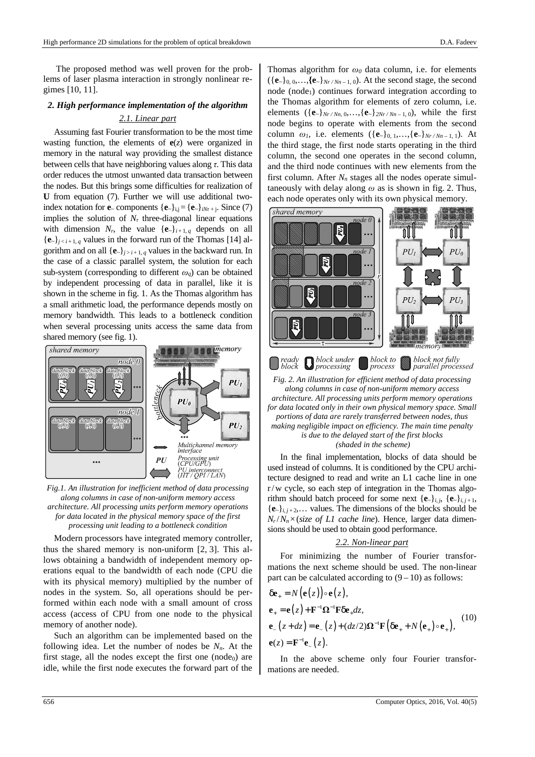The proposed method was well proven for the problems of laser plasma interaction in strongly nonlinear regimes [10, 11].

# *2. High performance implementation of the algorithm*

# *2.1. Linear part*

Assuming fast Fourier transformation to be the most time wasting function, the elements of  $e(z)$  were organized in memory in the natural way providing the smallest distance between cells that have neighboring values along *τ*. This data order reduces the utmost unwanted data transaction between the nodes. But this brings some difficulties for realization of **U** from equation (7). Further we will use additional twoindex notation for **e**<sub>*~*</sub> components {**e**<sub>*~*</sub>}<sub>i,j</sub> = {**e**<sub>*a*</sub>}<sub>*iNt*<sub>*t*+*j*</sub>. Since (7)</sub> implies the solution of  $N<sub>\tau</sub>$  three-diagonal linear equations with dimension  $N_r$ , the value  $\{e_{r}\}_{i+1,q}$  depends on all  ${\bf e}_i {\bf e}_i$ ,  $j \leq i+1, q$  values in the forward run of the Thomas [14] algorithm and on all  $\{e_{\gamma}\}_{j>i+1,q}$  values in the backward run. In the case of a classic parallel system, the solution for each sub-system (corresponding to different  $\omega_a$ ) can be obtained by independent processing of data in parallel, like it is shown in the scheme in fig. 1. As the Thomas algorithm has a small arithmetic load, the performance depends mostly on memory bandwidth. This leads to a bottleneck condition when several processing units access the same data from shared memory (see fig. 1).



*Fig.1. An illustration for inefficient method of data processing along columns in case of non-uniform memory access architecture. All processing units perform memory operations for data located in the physical memory space of the first processing unit leading to a bottleneck condition* 

Modern processors have integrated memory controller, thus the shared memory is non-uniform [2, 3]. This allows obtaining a bandwidth of independent memory operations equal to the bandwidth of each node (CPU die with its physical memory) multiplied by the number of nodes in the system. So, all operations should be performed within each node with a small amount of cross access (access of CPU from one node to the physical memory of another node).

Such an algorithm can be implemented based on the following idea. Let the number of nodes be *Nn*. At the first stage, all the nodes except the first one  $(node<sub>0</sub>)$  are idle, while the first node executes the forward part of the Thomas algorithm for *ω0* data column, i.e. for elements  $({\{e_*\}}_{0,0},..., {\{e_*\}}_{Nr/Nn-1,0})$ . At the second stage, the second node (node<sub>1</sub>) continues forward integration according to the Thomas algorithm for elements of zero column, i.e. elements  $({\mathbf{e}}_k)_{Nr/Nn,0,\ldots, {\mathbf{e}}_k}$ <sub>2Nr/Nn - 1, 0</sub>), while the first node begins to operate with elements from the second column  $\omega_1$ , i.e. elements ({**e**<sub>*~*</sub>}0, 1, ..., {**e**<sub>*a*</sub>}*Nr* /*Nn* - 1, 1}. At the third stage, the first node starts operating in the third column, the second one operates in the second column, and the third node continues with new elements from the first column. After  $N_n$  stages all the nodes operate simultaneously with delay along *ω* as is shown in fig. 2. Thus, each node operates only with its own physical memory.



*Fig. 2. An illustration for efficient method of data processing along columns in case of non-uniform memory access architecture. All processing units perform memory operations for data located only in their own physical memory space. Small portions of data are rarely transferred between nodes, thus making negligible impact on efficiency. The main time penalty is due to the delayed start of the first blocks (shaded in the scheme)* 

In the final implementation, blocks of data should be used instead of columns. It is conditioned by the CPU architecture designed to read and write an L1 cache line in one r/w cycle, so each step of integration in the Thomas algorithm should batch proceed for some next  $\{e_{\gamma}\}_{i,j}$ ,  $\{e_{\gamma}\}_{i,j+1}$ ,  ${\bf e}_i\}_{i,i+2,...}$  values. The dimensions of the blocks should be  $N_r/N_n \times (size \ of \ L1 \ cache \ line)$ . Hence, larger data dimensions should be used to obtain good performance.

## *2.2. Non-linear part*

For minimizing the number of Fourier transformations the next scheme should be used. The non-linear part can be calculated according to  $(9-10)$  as follows:

$$
\delta \mathbf{e}_{+} = N(\mathbf{e}(z)) \circ \mathbf{e}(z),
$$
\n
$$
\mathbf{e}_{+} = \mathbf{e}(z) + \mathbf{F}^{-1} \mathbf{\Omega}^{-1} \mathbf{F} \delta \mathbf{e}_{+} dz,
$$
\n
$$
\mathbf{e}_{-}(z + dz) = \mathbf{e}_{-}(z) + (dz/2) \mathbf{\Omega}^{-1} \mathbf{F} (\delta \mathbf{e}_{+} + N(\mathbf{e}_{+}) \circ \mathbf{e}_{+}),
$$
\n
$$
\mathbf{e}(z) = \mathbf{F}^{-1} \mathbf{e}_{-}(z).
$$
\n(10)

In the above scheme only four Fourier transformations are needed.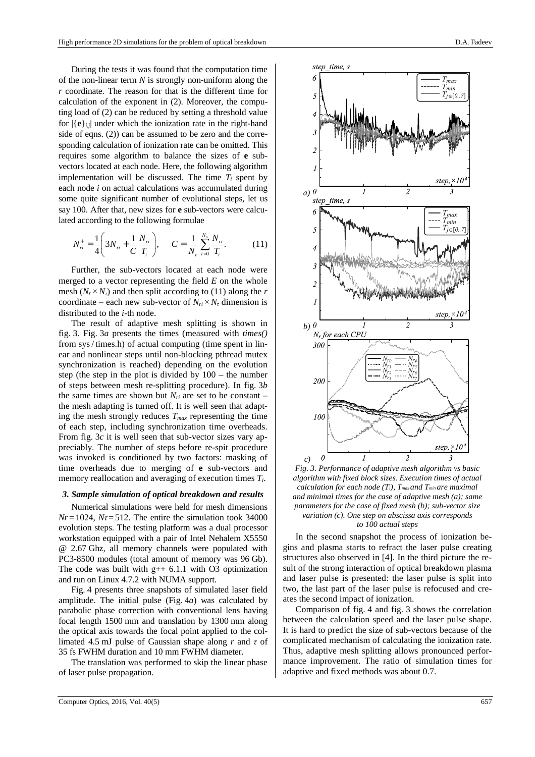During the tests it was found that the computation time of the non-linear term *N* is strongly non-uniform along the *r* coordinate. The reason for that is the different time for calculation of the exponent in (2). Moreover, the computing load of (2) can be reduced by setting a threshold value for  $|\{e\}_i|$  under which the ionization rate in the right-hand side of eqns.  $(2)$ ) can be assumed to be zero and the corresponding calculation of ionization rate can be omitted. This requires some algorithm to balance the sizes of **e** subvectors located at each node. Here, the following algorithm implementation will be discussed. The time  $T_i$  spent by each node *i* on actual calculations was accumulated during some quite significant number of evolutional steps, let us say 100. After that, new sizes for **e** sub-vectors were calculated according to the following formulae

$$
N_{ri}^{+} = \frac{1}{4} \left( 3N_{ri} + \frac{1}{C} \frac{N_{ri}}{T_i} \right), \qquad C = \frac{1}{N_r} \sum_{i=0}^{N_n} \frac{N_{ri}}{T_i}.
$$
 (11)

Further, the sub-vectors located at each node were merged to a vector representing the field *E* on the whole mesh  $(N_r \times N_t)$  and then split according to (11) along the *r* coordinate – each new sub-vector of  $N_{ri} \times N_{\tau}$  dimension is distributed to the *i*-th node.

The result of adaptive mesh splitting is shown in fig. 3. Fig. 3*a* presents the times (measured with *times()* from sys/ times.h) of actual computing (time spent in linear and nonlinear steps until non-blocking pthread mutex synchronization is reached) depending on the evolution step (the step in the plot is divided by 100 – the number of steps between mesh re-splitting procedure). In fig. 3*b* the same times are shown but  $N_{ri}$  are set to be constant – the mesh adapting is turned off. It is well seen that adapting the mesh strongly reduces  $T_{max}$  representing the time of each step, including synchronization time overheads. From fig. 3*c* it is well seen that sub-vector sizes vary appreciably. The number of steps before re-spit procedure was invoked is conditioned by two factors: masking of time overheads due to merging of **e** sub-vectors and memory reallocation and averaging of execution times *Ti*.

# *3. Sample simulation of optical breakdown and results*

Numerical simulations were held for mesh dimensions  $Nr = 1024$ ,  $N\tau = 512$ . The entire the simulation took 34000 evolution steps. The testing platform was a dual processor workstation equipped with a pair of Intel Nehalem X5550 @ 2.67 Ghz, all memory channels were populated with PC3-8500 modules (total amount of memory was 96 Gb). The code was built with  $g++ 6.1.1$  with O3 optimization and run on Linux 4.7.2 with NUMA support.

Fig. 4 presents three snapshots of simulated laser field amplitude. The initial pulse (Fig. 4*a*) was calculated by parabolic phase correction with conventional lens having focal length 1500 mm and translation by 1300 mm along the optical axis towards the focal point applied to the collimated 4.5 mJ pulse of Gaussian shape along *r* and *τ* of 35 fs FWHM duration and 10 mm FWHM diameter.

The translation was performed to skip the linear phase of laser pulse propagation.





*Fig. 3. Performance of adaptive mesh algorithm vs basic algorithm with fixed block sizes. Execution times of actual calculation for each node (Ti), Tmax and Tmin are maximal and minimal times for the case of adaptive mesh (a); same parameters for the case of fixed mesh (b); sub-vector size variation (c). One step on abscissa axis corresponds to 100 actual steps* 

In the second snapshot the process of ionization begins and plasma starts to refract the laser pulse creating structures also observed in [4]. In the third picture the result of the strong interaction of optical breakdown plasma and laser pulse is presented: the laser pulse is split into two, the last part of the laser pulse is refocused and creates the second impact of ionization.

Comparison of fig. 4 and fig. 3 shows the correlation between the calculation speed and the laser pulse shape. It is hard to predict the size of sub-vectors because of the complicated mechanism of calculating the ionization rate. Thus, adaptive mesh splitting allows pronounced performance improvement. The ratio of simulation times for adaptive and fixed methods was about 0.7.